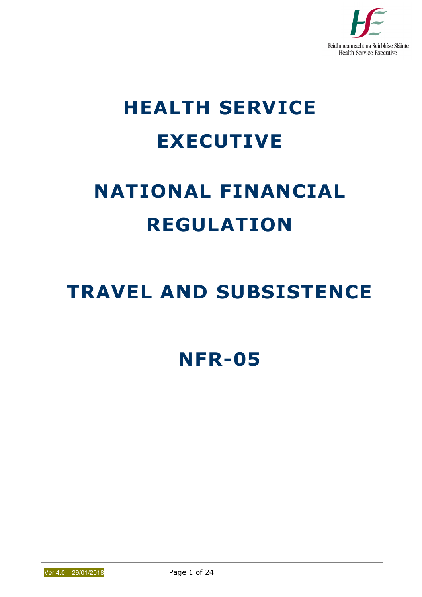

# HEALTH SERVICE EXECUTIVE

# NATIONAL FINANCIAL REGULATION

## TRAVEL AND SUBSISTENCE

### NFR-05

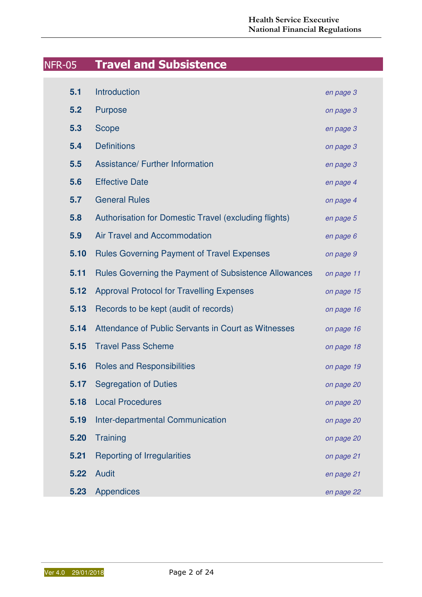### NFR-05 Travel and Subsistence

| 5.1  | Introduction                                                 | en page 3  |
|------|--------------------------------------------------------------|------------|
| 5.2  | <b>Purpose</b>                                               | on page 3  |
| 5.3  | Scope                                                        | en page 3  |
| 5.4  | <b>Definitions</b>                                           | on page 3  |
| 5.5  | <b>Assistance/ Further Information</b>                       | en page 3  |
| 5.6  | <b>Effective Date</b>                                        | en page 4  |
| 5.7  | <b>General Rules</b>                                         | on page 4  |
| 5.8  | Authorisation for Domestic Travel (excluding flights)        | en page 5  |
| 5.9  | <b>Air Travel and Accommodation</b>                          | en page 6  |
| 5.10 | <b>Rules Governing Payment of Travel Expenses</b>            | on page 9  |
| 5.11 | <b>Rules Governing the Payment of Subsistence Allowances</b> | on page 11 |
| 5.12 | <b>Approval Protocol for Travelling Expenses</b>             | on page 15 |
| 5.13 | Records to be kept (audit of records)                        | on page 16 |
| 5.14 | Attendance of Public Servants in Court as Witnesses          | on page 16 |
| 5.15 | <b>Travel Pass Scheme</b>                                    | on page 18 |
| 5.16 | <b>Roles and Responsibilities</b>                            | on page 19 |
| 5.17 | <b>Segregation of Duties</b>                                 | on page 20 |
| 5.18 | <b>Local Procedures</b>                                      | on page 20 |
| 5.19 | Inter-departmental Communication                             | on page 20 |
| 5.20 | Training                                                     | on page 20 |
| 5.21 | <b>Reporting of Irregularities</b>                           | on page 21 |
| 5.22 | Audit                                                        | en page 21 |
| 5.23 | <b>Appendices</b>                                            | en page 22 |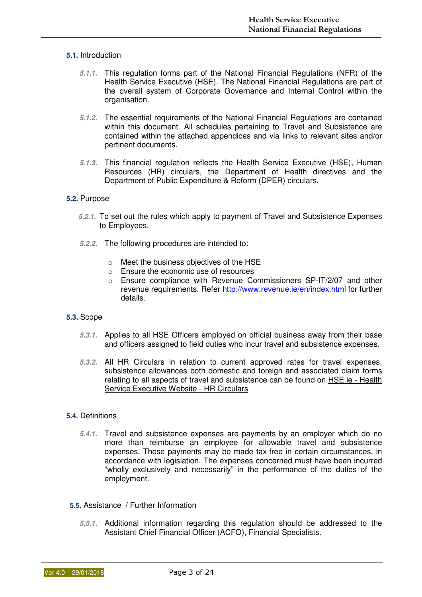#### **5.1.** Introduction

- **5.1.1.** This regulation forms part of the National Financial Regulations (NFR) of the Health Service Executive (HSE). The National Financial Regulations are part of the overall system of Corporate Governance and Internal Control within the organisation.
- **5.1.2.** The essential requirements of the National Financial Regulations are contained within this document. All schedules pertaining to Travel and Subsistence are contained within the attached appendices and via links to relevant sites and/or pertinent documents.
- **5.1.3.** This financial regulation reflects the Health Service Executive (HSE), Human Resources (HR) circulars, the Department of Health directives and the Department of Public Expenditure & Reform (DPER) circulars.

#### **5.2.** Purpose

- **5.2.1.** To set out the rules which apply to payment of Travel and Subsistence Expenses to Employees.
- **5.2.2.** The following procedures are intended to:
	- o Meet the business objectives of the HSE
	- o Ensure the economic use of resources
	- o Ensure compliance with Revenue Commissioners SP-IT/2/07 and other revenue requirements. Refer http://www.revenue.ie/en/index.html for further details.

#### **5.3.** Scope

- **5.3.1.** Applies to all HSE Officers employed on official business away from their base and officers assigned to field duties who incur travel and subsistence expenses.
- **5.3.2.** All HR Circulars in relation to current approved rates for travel expenses, subsistence allowances both domestic and foreign and associated claim forms relating to all aspects of travel and subsistence can be found on HSE.ie - Health Service Executive Website - HR Circulars

#### **5.4.** Definitions

- **5.4.1.** Travel and subsistence expenses are payments by an employer which do no more than reimburse an employee for allowable travel and subsistence expenses. These payments may be made tax-free in certain circumstances, in accordance with legislation. The expenses concerned must have been incurred "wholly exclusively and necessarily" in the performance of the duties of the employment.
- **5.5.** Assistance / Further Information
	- **5.5.1.** Additional information regarding this regulation should be addressed to the Assistant Chief Financial Officer (ACFO), Financial Specialists.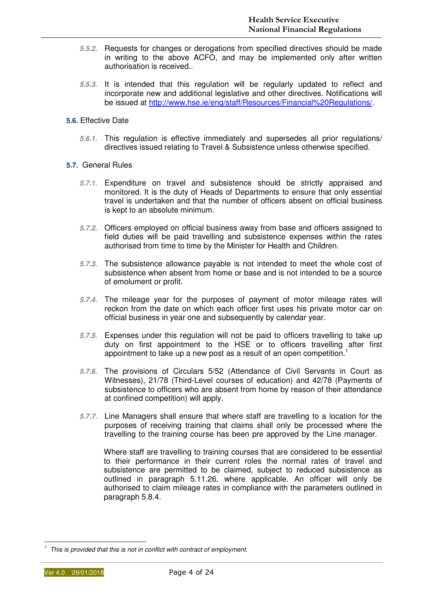- **5.5.2.** Requests for changes or derogations from specified directives should be made in writing to the above ACFO, and may be implemented only after written authorisation is received..
- **5.5.3.** It is intended that this regulation will be regularly updated to reflect and incorporate new and additional legislative and other directives. Notifications will be issued at http://www.hse.ie/eng/staff/Resources/Financial%20Regulations/.
- **5.6.** Effective Date
	- **5.6.1.** This regulation is effective immediately and supersedes all prior regulations/ directives issued relating to Travel & Subsistence unless otherwise specified.
- **5.7.** General Rules
	- **5.7.1.** Expenditure on travel and subsistence should be strictly appraised and monitored. It is the duty of Heads of Departments to ensure that only essential travel is undertaken and that the number of officers absent on official business is kept to an absolute minimum.
	- **5.7.2.** Officers employed on official business away from base and officers assigned to field duties will be paid travelling and subsistence expenses within the rates authorised from time to time by the Minister for Health and Children.
	- **5.7.3.** The subsistence allowance payable is not intended to meet the whole cost of subsistence when absent from home or base and is not intended to be a source of emolument or profit.
	- **5.7.4.** The mileage year for the purposes of payment of motor mileage rates will reckon from the date on which each officer first uses his private motor car on official business in year one and subsequently by calendar year.
	- **5.7.5.** Expenses under this regulation will not be paid to officers travelling to take up duty on first appointment to the HSE or to officers travelling after first appointment to take up a new post as a result of an open competition.<sup>1</sup>
	- **5.7.6.** The provisions of Circulars 5/52 (Attendance of Civil Servants in Court as Witnesses), 21/78 (Third-Level courses of education) and 42/78 (Payments of subsistence to officers who are absent from home by reason of their attendance at confined competition) will apply.
	- **5.7.7.** Line Managers shall ensure that where staff are travelling to a location for the purposes of receiving training that claims shall only be processed where the travelling to the training course has been pre approved by the Line manager.

Where staff are travelling to training courses that are considered to be essential to their performance in their current roles the normal rates of travel and subsistence are permitted to be claimed, subject to reduced subsistence as outlined in paragraph 5.11.26, where applicable. An officer will only be authorised to claim mileage rates in compliance with the parameters outlined in paragraph 5.8.4.

 $1$  This is provided that this is not in conflict with contract of employment.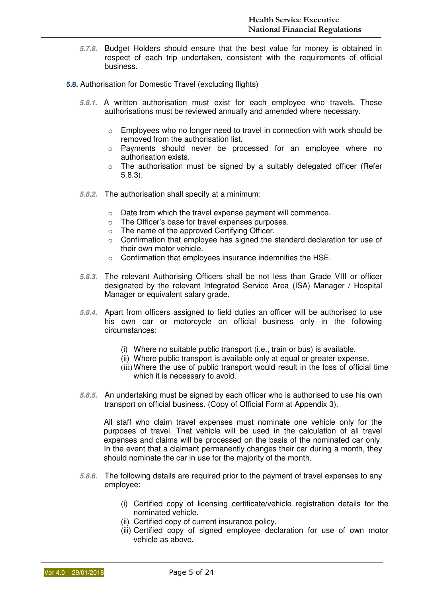- **5.7.8.** Budget Holders should ensure that the best value for money is obtained in respect of each trip undertaken, consistent with the requirements of official business.
- **5.8.** Authorisation for Domestic Travel (excluding flights)
	- **5.8.1.** A written authorisation must exist for each employee who travels. These authorisations must be reviewed annually and amended where necessary.
		- $\circ$  Employees who no longer need to travel in connection with work should be removed from the authorisation list.
		- o Payments should never be processed for an employee where no authorisation exists.
		- $\circ$  The authorisation must be signed by a suitably delegated officer (Refer 5.8.3).
	- **5.8.2.** The authorisation shall specify at a minimum:
		- o Date from which the travel expense payment will commence.
		- o The Officer's base for travel expenses purposes.
		- $\circ$  The name of the approved Certifying Officer.
		- $\circ$  Confirmation that employee has signed the standard declaration for use of their own motor vehicle.
		- o Confirmation that employees insurance indemnifies the HSE.
	- **5.8.3.** The relevant Authorising Officers shall be not less than Grade VIII or officer designated by the relevant Integrated Service Area (ISA) Manager / Hospital Manager or equivalent salary grade.
	- **5.8.4.** Apart from officers assigned to field duties an officer will be authorised to use his own car or motorcycle on official business only in the following circumstances:
		- (i) Where no suitable public transport (i.e., train or bus) is available.
		- (ii) Where public transport is available only at equal or greater expense.
		- (iii) Where the use of public transport would result in the loss of official time which it is necessary to avoid.
	- **5.8.5.** An undertaking must be signed by each officer who is authorised to use his own transport on official business. (Copy of Official Form at Appendix 3).

All staff who claim travel expenses must nominate one vehicle only for the purposes of travel. That vehicle will be used in the calculation of all travel expenses and claims will be processed on the basis of the nominated car only. In the event that a claimant permanently changes their car during a month, they should nominate the car in use for the majority of the month.

- **5.8.6.** The following details are required prior to the payment of travel expenses to any employee:
	- (i) Certified copy of licensing certificate/vehicle registration details for the nominated vehicle.
	- (ii) Certified copy of current insurance policy.
	- (iii) Certified copy of signed employee declaration for use of own motor vehicle as above.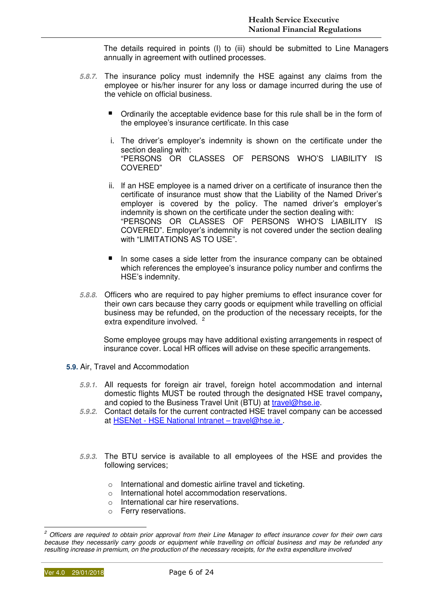The details required in points (I) to (iii) should be submitted to Line Managers annually in agreement with outlined processes.

- **5.8.7.** The insurance policy must indemnify the HSE against any claims from the employee or his/her insurer for any loss or damage incurred during the use of the vehicle on official business.
	- **•** Ordinarily the acceptable evidence base for this rule shall be in the form of the employee's insurance certificate. In this case
	- i. The driver's employer's indemnity is shown on the certificate under the section dealing with: "PERSONS OR CLASSES OF PERSONS WHO'S LIABILITY IS COVERED"
	- ii. If an HSE employee is a named driver on a certificate of insurance then the certificate of insurance must show that the Liability of the Named Driver's employer is covered by the policy. The named driver's employer's indemnity is shown on the certificate under the section dealing with: "PERSONS OR CLASSES OF PERSONS WHO'S LIABILITY COVERED". Employer's indemnity is not covered under the section dealing with "LIMITATIONS AS TO USE".
	- In some cases a side letter from the insurance company can be obtained which references the employee's insurance policy number and confirms the HSE's indemnity.
- **5.8.8.** Officers who are required to pay higher premiums to effect insurance cover for their own cars because they carry goods or equipment while travelling on official business may be refunded, on the production of the necessary receipts, for the extra expenditure involved.<sup>2</sup>

Some employee groups may have additional existing arrangements in respect of insurance cover. Local HR offices will advise on these specific arrangements.

- **5.9.** Air, Travel and Accommodation
	- **5.9.1.** All requests for foreign air travel, foreign hotel accommodation and internal domestic flights MUST be routed through the designated HSE travel company**,** and copied to the Business Travel Unit (BTU) at travel@hse.ie.
	- **5.9.2.** Contact details for the current contracted HSE travel company can be accessed at HSENet - HSE National Intranet – travel@hse.ie .
	- **5.9.3.** The BTU service is available to all employees of the HSE and provides the following services;
		- o International and domestic airline travel and ticketing.
		- o International hotel accommodation reservations.
		- o International car hire reservations.
		- o Ferry reservations.

<sup>&</sup>lt;u>2</u><br><sup>2</sup> Officers are required to obtain prior approval from their Line Manager to effect insurance cover for their own cars because they necessarily carry goods or equipment while travelling on official business and may be refunded any resulting increase in premium, on the production of the necessary receipts, for the extra expenditure involved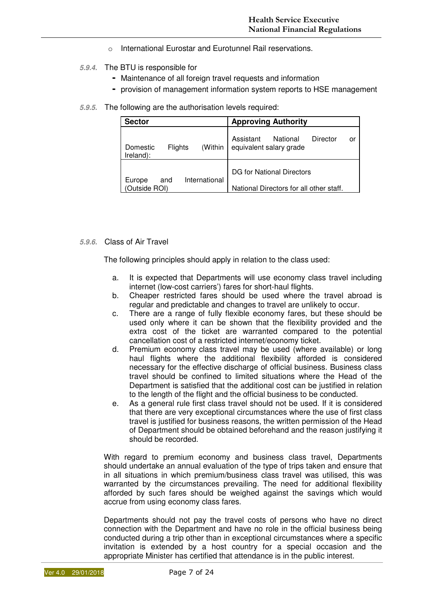- o International Eurostar and Eurotunnel Rail reservations.
- **5.9.4.** The BTU is responsible for
	- Maintenance of all foreign travel requests and information
	- provision of management information system reports to HSE management
- **5.9.5.** The following are the authorisation levels required:

| <b>Sector</b>                                  | <b>Approving Authority</b>                                           |  |  |  |
|------------------------------------------------|----------------------------------------------------------------------|--|--|--|
| (Within<br>Flights<br>Domestic<br>Ireland):    | Assistant<br>National<br>Director<br>or<br>equivalent salary grade   |  |  |  |
| International<br>Europe<br>and<br>Outside ROI) | DG for National Directors<br>National Directors for all other staff. |  |  |  |

#### **5.9.6.** Class of Air Travel

The following principles should apply in relation to the class used:

- a. It is expected that Departments will use economy class travel including internet (low-cost carriers') fares for short-haul flights.
- b. Cheaper restricted fares should be used where the travel abroad is regular and predictable and changes to travel are unlikely to occur.
- c. There are a range of fully flexible economy fares, but these should be used only where it can be shown that the flexibility provided and the extra cost of the ticket are warranted compared to the potential cancellation cost of a restricted internet/economy ticket.
- d. Premium economy class travel may be used (where available) or long haul flights where the additional flexibility afforded is considered necessary for the effective discharge of official business. Business class travel should be confined to limited situations where the Head of the Department is satisfied that the additional cost can be justified in relation to the length of the flight and the official business to be conducted.
- e. As a general rule first class travel should not be used. If it is considered that there are very exceptional circumstances where the use of first class travel is justified for business reasons, the written permission of the Head of Department should be obtained beforehand and the reason justifying it should be recorded.

With regard to premium economy and business class travel, Departments should undertake an annual evaluation of the type of trips taken and ensure that in all situations in which premium/business class travel was utilised, this was warranted by the circumstances prevailing. The need for additional flexibility afforded by such fares should be weighed against the savings which would accrue from using economy class fares.

Departments should not pay the travel costs of persons who have no direct connection with the Department and have no role in the official business being conducted during a trip other than in exceptional circumstances where a specific invitation is extended by a host country for a special occasion and the appropriate Minister has certified that attendance is in the public interest.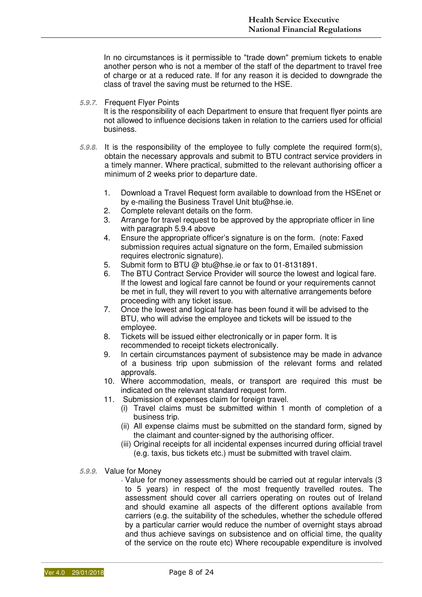In no circumstances is it permissible to "trade down" premium tickets to enable another person who is not a member of the staff of the department to travel free of charge or at a reduced rate. If for any reason it is decided to downgrade the class of travel the saving must be returned to the HSE.

**5.9.7.** Frequent Flyer Points

It is the responsibility of each Department to ensure that frequent flyer points are not allowed to influence decisions taken in relation to the carriers used for official business.

- **5.9.8.** It is the responsibility of the employee to fully complete the required form(s), obtain the necessary approvals and submit to BTU contract service providers in a timely manner. Where practical, submitted to the relevant authorising officer a minimum of 2 weeks prior to departure date.
	- 1. Download a Travel Request form available to download from the HSEnet or by e-mailing the Business Travel Unit btu@hse.ie.
	- 2. Complete relevant details on the form.
	- 3. Arrange for travel request to be approved by the appropriate officer in line with paragraph 5.9.4 above
	- 4. Ensure the appropriate officer's signature is on the form. (note: Faxed submission requires actual signature on the form. Emailed submission requires electronic signature).
	- 5. Submit form to BTU @ btu@hse.ie or fax to 01-8131891.
	- 6. The BTU Contract Service Provider will source the lowest and logical fare. If the lowest and logical fare cannot be found or your requirements cannot be met in full, they will revert to you with alternative arrangements before proceeding with any ticket issue.
	- 7. Once the lowest and logical fare has been found it will be advised to the BTU, who will advise the employee and tickets will be issued to the employee.
	- 8. Tickets will be issued either electronically or in paper form. It is recommended to receipt tickets electronically.
	- 9. In certain circumstances payment of subsistence may be made in advance of a business trip upon submission of the relevant forms and related approvals.
	- 10. Where accommodation, meals, or transport are required this must be indicated on the relevant standard request form.
	- 11. Submission of expenses claim for foreign travel.
		- (i) Travel claims must be submitted within 1 month of completion of a business trip.
		- (ii) All expense claims must be submitted on the standard form, signed by the claimant and counter-signed by the authorising officer.
		- (iii) Original receipts for all incidental expenses incurred during official travel (e.g. taxis, bus tickets etc.) must be submitted with travel claim.
- **5.9.9.** Value for Money

- Value for money assessments should be carried out at regular intervals (3 to 5 years) in respect of the most frequently travelled routes. The assessment should cover all carriers operating on routes out of Ireland and should examine all aspects of the different options available from carriers (e.g. the suitability of the schedules, whether the schedule offered by a particular carrier would reduce the number of overnight stays abroad and thus achieve savings on subsistence and on official time, the quality of the service on the route etc) Where recoupable expenditure is involved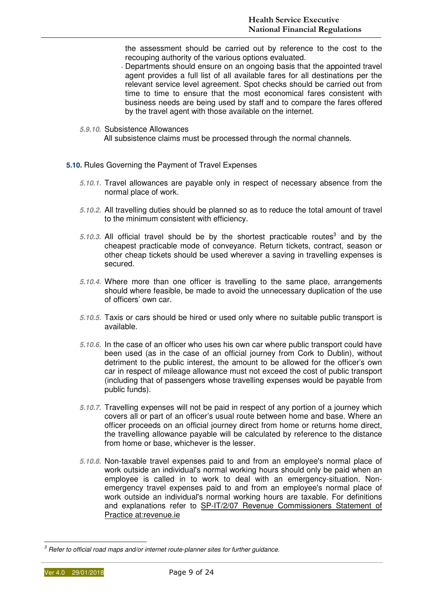the assessment should be carried out by reference to the cost to the recouping authority of the various options evaluated.

- Departments should ensure on an ongoing basis that the appointed travel agent provides a full list of all available fares for all destinations per the relevant service level agreement. Spot checks should be carried out from time to time to ensure that the most economical fares consistent with business needs are being used by staff and to compare the fares offered by the travel agent with those available on the internet.
- **5.9.10.** Subsistence Allowances

All subsistence claims must be processed through the normal channels.

- **5.10.** Rules Governing the Payment of Travel Expenses
	- **5.10.1.** Travel allowances are payable only in respect of necessary absence from the normal place of work.
	- **5.10.2.** All travelling duties should be planned so as to reduce the total amount of travel to the minimum consistent with efficiency.
	- 5.10.3. All official travel should be by the shortest practicable routes<sup>3</sup> and by the cheapest practicable mode of conveyance. Return tickets, contract, season or other cheap tickets should be used wherever a saving in travelling expenses is secured.
	- **5.10.4.** Where more than one officer is travelling to the same place, arrangements should where feasible, be made to avoid the unnecessary duplication of the use of officers' own car.
	- **5.10.5.** Taxis or cars should be hired or used only where no suitable public transport is available.
	- **5.10.6.** In the case of an officer who uses his own car where public transport could have been used (as in the case of an official journey from Cork to Dublin), without detriment to the public interest, the amount to be allowed for the officer's own car in respect of mileage allowance must not exceed the cost of public transport (including that of passengers whose travelling expenses would be payable from public funds).
	- **5.10.7.** Travelling expenses will not be paid in respect of any portion of a journey which covers all or part of an officer's usual route between home and base. Where an officer proceeds on an official journey direct from home or returns home direct, the travelling allowance payable will be calculated by reference to the distance from home or base, whichever is the lesser.
	- **5.10.8.** Non-taxable travel expenses paid to and from an employee's normal place of work outside an individual's normal working hours should only be paid when an employee is called in to work to deal with an emergency-situation. Nonemergency travel expenses paid to and from an employee's normal place of work outside an individual's normal working hours are taxable. For definitions and explanations refer to SP-IT/2/07 Revenue Commissioners Statement of Practice at:revenue.ie

 $3$  Refer to official road maps and/or internet route-planner sites for further guidance.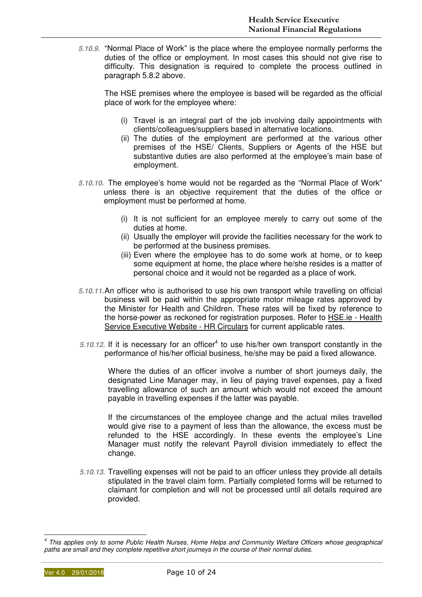**5.10.9.** "Normal Place of Work" is the place where the employee normally performs the duties of the office or employment. In most cases this should not give rise to difficulty. This designation is required to complete the process outlined in paragraph 5.8.2 above.

The HSE premises where the employee is based will be regarded as the official place of work for the employee where:

- (i) Travel is an integral part of the job involving daily appointments with clients/colleagues/suppliers based in alternative locations.
- (ii) The duties of the employment are performed at the various other premises of the HSE/ Clients, Suppliers or Agents of the HSE but substantive duties are also performed at the employee's main base of employment.
- **5.10.10.** The employee's home would not be regarded as the "Normal Place of Work" unless there is an objective requirement that the duties of the office or employment must be performed at home.
	- (i) It is not sufficient for an employee merely to carry out some of the duties at home.
	- (ii) Usually the employer will provide the facilities necessary for the work to be performed at the business premises.
	- (iii) Even where the employee has to do some work at home, or to keep some equipment at home, the place where he/she resides is a matter of personal choice and it would not be regarded as a place of work.
- **5.10.11.** An officer who is authorised to use his own transport while travelling on official business will be paid within the appropriate motor mileage rates approved by the Minister for Health and Children. These rates will be fixed by reference to the horse-power as reckoned for registration purposes. Refer to HSE.ie - Health Service Executive Website - HR Circulars for current applicable rates.
- 5.10.12. If it is necessary for an officer<sup>4</sup> to use his/her own transport constantly in the performance of his/her official business, he/she may be paid a fixed allowance.

Where the duties of an officer involve a number of short journeys daily, the designated Line Manager may, in lieu of paying travel expenses, pay a fixed travelling allowance of such an amount which would not exceed the amount payable in travelling expenses if the latter was payable.

If the circumstances of the employee change and the actual miles travelled would give rise to a payment of less than the allowance, the excess must be refunded to the HSE accordingly. In these events the employee's Line Manager must notify the relevant Payroll division immediately to effect the change.

**5.10.13.** Travelling expenses will not be paid to an officer unless they provide all details stipulated in the travel claim form. Partially completed forms will be returned to claimant for completion and will not be processed until all details required are provided.

<sup>4</sup> This applies only to some Public Health Nurses, Home Helps and Community Welfare Officers whose geographical paths are small and they complete repetitive short journeys in the course of their normal duties.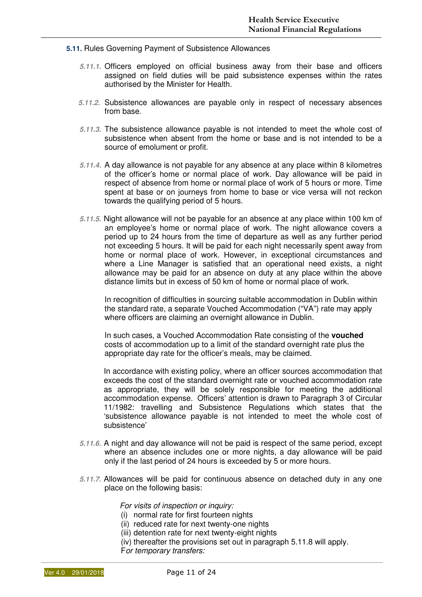- **5.11.** Rules Governing Payment of Subsistence Allowances
	- **5.11.1.** Officers employed on official business away from their base and officers assigned on field duties will be paid subsistence expenses within the rates authorised by the Minister for Health.
	- **5.11.2.** Subsistence allowances are payable only in respect of necessary absences from base.
	- **5.11.3.** The subsistence allowance payable is not intended to meet the whole cost of subsistence when absent from the home or base and is not intended to be a source of emolument or profit.
	- **5.11.4.** A day allowance is not payable for any absence at any place within 8 kilometres of the officer's home or normal place of work. Day allowance will be paid in respect of absence from home or normal place of work of 5 hours or more. Time spent at base or on journeys from home to base or vice versa will not reckon towards the qualifying period of 5 hours.
	- **5.11.5.** Night allowance will not be payable for an absence at any place within 100 km of an employee's home or normal place of work. The night allowance covers a period up to 24 hours from the time of departure as well as any further period not exceeding 5 hours. It will be paid for each night necessarily spent away from home or normal place of work. However, in exceptional circumstances and where a Line Manager is satisfied that an operational need exists, a night allowance may be paid for an absence on duty at any place within the above distance limits but in excess of 50 km of home or normal place of work.

In recognition of difficulties in sourcing suitable accommodation in Dublin within the standard rate, a separate Vouched Accommodation ("VA") rate may apply where officers are claiming an overnight allowance in Dublin.

In such cases, a Vouched Accommodation Rate consisting of the **vouched** costs of accommodation up to a limit of the standard overnight rate plus the appropriate day rate for the officer's meals, may be claimed.

In accordance with existing policy, where an officer sources accommodation that exceeds the cost of the standard overnight rate or vouched accommodation rate as appropriate, they will be solely responsible for meeting the additional accommodation expense. Officers' attention is drawn to Paragraph 3 of Circular 11/1982: travelling and Subsistence Regulations which states that the 'subsistence allowance payable is not intended to meet the whole cost of subsistence'

- **5.11.6.** A night and day allowance will not be paid is respect of the same period, except where an absence includes one or more nights, a day allowance will be paid only if the last period of 24 hours is exceeded by 5 or more hours.
- **5.11.7.** Allowances will be paid for continuous absence on detached duty in any one place on the following basis:

For visits of inspection or inquiry:

- (i) normal rate for first fourteen nights
- (ii) reduced rate for next twenty-one nights
- (iii) detention rate for next twenty-eight nights
- (iv) thereafter the provisions set out in paragraph 5.11.8 will apply.

For temporary transfers: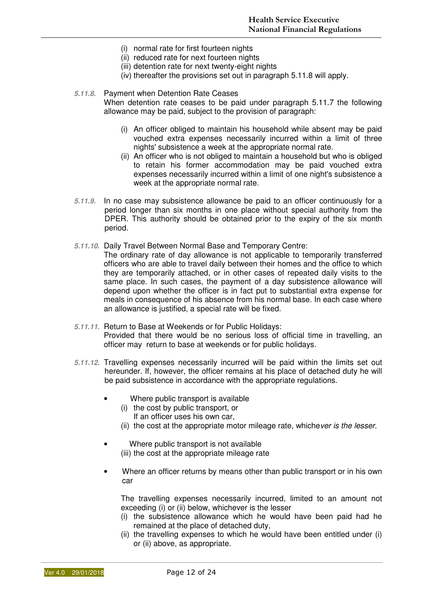- (i) normal rate for first fourteen nights
- (ii) reduced rate for next fourteen nights
- (iii) detention rate for next twenty-eight nights
- (iv) thereafter the provisions set out in paragraph 5.11.8 will apply.

#### **5.11.8.** Payment when Detention Rate Ceases

When detention rate ceases to be paid under paragraph 5.11.7 the following allowance may be paid, subject to the provision of paragraph:

- (i) An officer obliged to maintain his household while absent may be paid vouched extra expenses necessarily incurred within a limit of three nights' subsistence a week at the appropriate normal rate.
- (ii) An officer who is not obliged to maintain a household but who is obliged to retain his former accommodation may be paid vouched extra expenses necessarily incurred within a limit of one night's subsistence a week at the appropriate normal rate.
- **5.11.9.** In no case may subsistence allowance be paid to an officer continuously for a period longer than six months in one place without special authority from the DPER. This authority should be obtained prior to the expiry of the six month period.
- **5.11.10.** Daily Travel Between Normal Base and Temporary Centre:
	- The ordinary rate of day allowance is not applicable to temporarily transferred officers who are able to travel daily between their homes and the office to which they are temporarily attached, or in other cases of repeated daily visits to the same place. In such cases, the payment of a day subsistence allowance will depend upon whether the officer is in fact put to substantial extra expense for meals in consequence of his absence from his normal base. In each case where an allowance is justified, a special rate will be fixed.
- **5.11.11.** Return to Base at Weekends or for Public Holidays: Provided that there would be no serious loss of official time in travelling, an officer may return to base at weekends or for public holidays.
- **5.11.12.** Travelling expenses necessarily incurred will be paid within the limits set out hereunder. If, however, the officer remains at his place of detached duty he will be paid subsistence in accordance with the appropriate regulations.
	- Where public transport is available
		- (i) the cost by public transport, or
			- If an officer uses his own car,
		- (ii) the cost at the appropriate motor mileage rate, whichever is the lesser.
	- Where public transport is not available (iii) the cost at the appropriate mileage rate
	- Where an officer returns by means other than public transport or in his own car

The travelling expenses necessarily incurred, limited to an amount not exceeding (i) or (ii) below, whichever is the lesser

- (i) the subsistence allowance which he would have been paid had he remained at the place of detached duty,
- (ii) the travelling expenses to which he would have been entitled under (i) or (ii) above, as appropriate.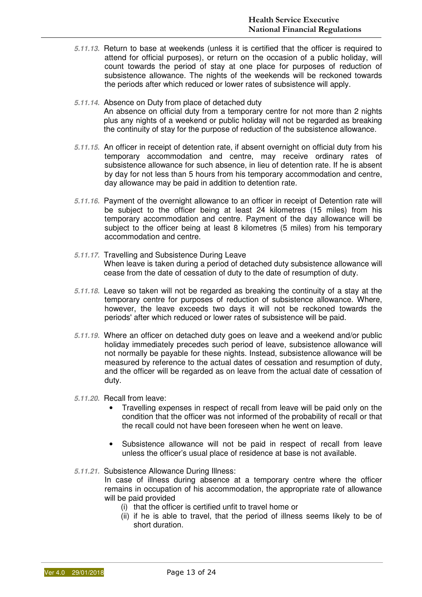- **5.11.13.** Return to base at weekends (unless it is certified that the officer is required to attend for official purposes), or return on the occasion of a public holiday, will count towards the period of stay at one place for purposes of reduction of subsistence allowance. The nights of the weekends will be reckoned towards the periods after which reduced or lower rates of subsistence will apply.
- **5.11.14.** Absence on Duty from place of detached duty An absence on official duty from a temporary centre for not more than 2 nights plus any nights of a weekend or public holiday will not be regarded as breaking the continuity of stay for the purpose of reduction of the subsistence allowance.
- **5.11.15.** An officer in receipt of detention rate, if absent overnight on official duty from his temporary accommodation and centre, may receive ordinary rates of subsistence allowance for such absence, in lieu of detention rate. If he is absent by day for not less than 5 hours from his temporary accommodation and centre, day allowance may be paid in addition to detention rate.
- **5.11.16.** Payment of the overnight allowance to an officer in receipt of Detention rate will be subject to the officer being at least 24 kilometres (15 miles) from his temporary accommodation and centre. Payment of the day allowance will be subject to the officer being at least 8 kilometres (5 miles) from his temporary accommodation and centre.
- **5.11.17.** Travelling and Subsistence During Leave When leave is taken during a period of detached duty subsistence allowance will cease from the date of cessation of duty to the date of resumption of duty.
- **5.11.18.** Leave so taken will not be regarded as breaking the continuity of a stay at the temporary centre for purposes of reduction of subsistence allowance. Where, however, the leave exceeds two days it will not be reckoned towards the periods' after which reduced or lower rates of subsistence will be paid.
- **5.11.19.** Where an officer on detached duty goes on leave and a weekend and/or public holiday immediately precedes such period of leave, subsistence allowance will not normally be payable for these nights. Instead, subsistence allowance will be measured by reference to the actual dates of cessation and resumption of duty, and the officer will be regarded as on leave from the actual date of cessation of duty.
- **5.11.20.** Recall from leave:
	- Travelling expenses in respect of recall from leave will be paid only on the condition that the officer was not informed of the probability of recall or that the recall could not have been foreseen when he went on leave.
	- Subsistence allowance will not be paid in respect of recall from leave unless the officer's usual place of residence at base is not available.
- **5.11.21.** Subsistence Allowance During Illness:

In case of illness during absence at a temporary centre where the officer remains in occupation of his accommodation, the appropriate rate of allowance will be paid provided

- (i) that the officer is certified unfit to travel home or
- (ii) if he is able to travel, that the period of illness seems likely to be of short duration.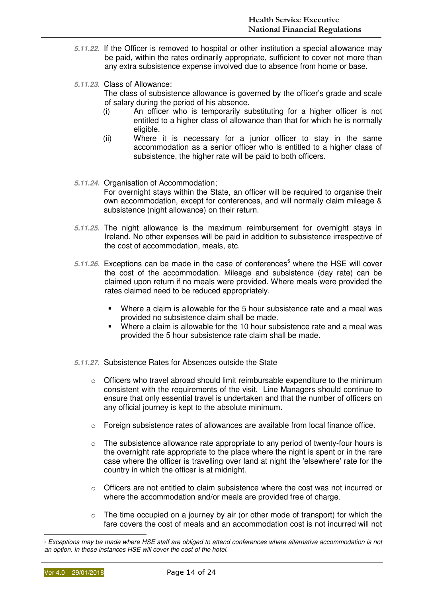- **5.11.22.** If the Officer is removed to hospital or other institution a special allowance may be paid, within the rates ordinarily appropriate, sufficient to cover not more than any extra subsistence expense involved due to absence from home or base.
- **5.11.23.** Class of Allowance: The class of subsistence allowance is governed by the officer's grade and scale of salary during the period of his absence.
	- (i) An officer who is temporarily substituting for a higher officer is not entitled to a higher class of allowance than that for which he is normally eligible.
	- (ii) Where it is necessary for a junior officer to stay in the same accommodation as a senior officer who is entitled to a higher class of subsistence, the higher rate will be paid to both officers.
- **5.11.24.** Organisation of Accommodation; For overnight stays within the State, an officer will be required to organise their own accommodation, except for conferences, and will normally claim mileage & subsistence (night allowance) on their return.
- **5.11.25.** The night allowance is the maximum reimbursement for overnight stays in Ireland. No other expenses will be paid in addition to subsistence irrespective of the cost of accommodation, meals, etc.
- 5.11.26. Exceptions can be made in the case of conferences<sup>5</sup> where the HSE will cover the cost of the accommodation. Mileage and subsistence (day rate) can be claimed upon return if no meals were provided. Where meals were provided the rates claimed need to be reduced appropriately.
	- Where a claim is allowable for the 5 hour subsistence rate and a meal was provided no subsistence claim shall be made.
	- Where a claim is allowable for the 10 hour subsistence rate and a meal was provided the 5 hour subsistence rate claim shall be made.
- **5.11.27.** Subsistence Rates for Absences outside the State
	- o Officers who travel abroad should limit reimbursable expenditure to the minimum consistent with the requirements of the visit. Line Managers should continue to ensure that only essential travel is undertaken and that the number of officers on any official journey is kept to the absolute minimum.
	- $\circ$  Foreign subsistence rates of allowances are available from local finance office.
	- $\circ$  The subsistence allowance rate appropriate to any period of twenty-four hours is the overnight rate appropriate to the place where the night is spent or in the rare case where the officer is travelling over land at night the 'elsewhere' rate for the country in which the officer is at midnight.
	- o Officers are not entitled to claim subsistence where the cost was not incurred or where the accommodation and/or meals are provided free of charge.
	- $\circ$  The time occupied on a journey by air (or other mode of transport) for which the fare covers the cost of meals and an accommodation cost is not incurred will not

<sup>&</sup>lt;sup>5</sup> Exceptions may be made where HSE staff are obliged to attend conferences where alternative accommodation is not an option. In these instances HSE will cover the cost of the hotel.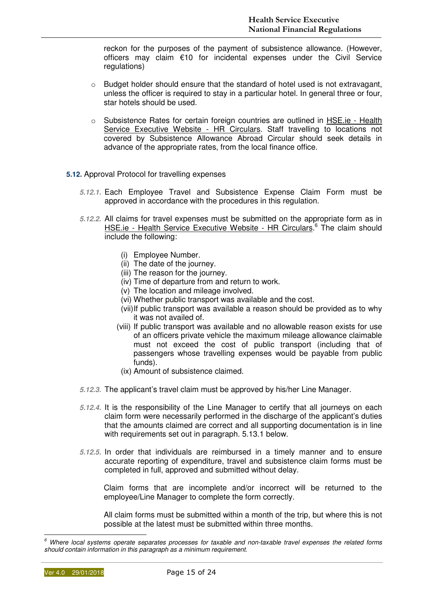reckon for the purposes of the payment of subsistence allowance. (However, officers may claim €10 for incidental expenses under the Civil Service regulations)

- o Budget holder should ensure that the standard of hotel used is not extravagant, unless the officer is required to stay in a particular hotel. In general three or four, star hotels should be used.
- o Subsistence Rates for certain foreign countries are outlined in HSE.ie Health Service Executive Website - HR Circulars. Staff travelling to locations not covered by Subsistence Allowance Abroad Circular should seek details in advance of the appropriate rates, from the local finance office.
- **5.12.** Approval Protocol for travelling expenses
	- **5.12.1.** Each Employee Travel and Subsistence Expense Claim Form must be approved in accordance with the procedures in this regulation.
	- **5.12.2.** All claims for travel expenses must be submitted on the appropriate form as in HSE.ie - Health Service Executive Website - HR Circulars.<sup>6</sup> The claim should include the following:
		- (i) Employee Number.
		- (ii) The date of the journey.
		- (iii) The reason for the journey.
		- (iv) Time of departure from and return to work.
		- (v) The location and mileage involved.
		- (vi) Whether public transport was available and the cost.
		- (vii) If public transport was available a reason should be provided as to why it was not availed of.
		- (viii) If public transport was available and no allowable reason exists for use of an officers private vehicle the maximum mileage allowance claimable must not exceed the cost of public transport (including that of passengers whose travelling expenses would be payable from public funds).
		- (ix) Amount of subsistence claimed.
	- **5.12.3.** The applicant's travel claim must be approved by his/her Line Manager.
	- **5.12.4.** It is the responsibility of the Line Manager to certify that all journeys on each claim form were necessarily performed in the discharge of the applicant's duties that the amounts claimed are correct and all supporting documentation is in line with requirements set out in paragraph. 5.13.1 below.
	- **5.12.5.** In order that individuals are reimbursed in a timely manner and to ensure accurate reporting of expenditure, travel and subsistence claim forms must be completed in full, approved and submitted without delay.

Claim forms that are incomplete and/or incorrect will be returned to the employee/Line Manager to complete the form correctly.

All claim forms must be submitted within a month of the trip, but where this is not possible at the latest must be submitted within three months.

<sup>6</sup> Where local systems operate separates processes for taxable and non-taxable travel expenses the related forms should contain information in this paragraph as a minimum requirement.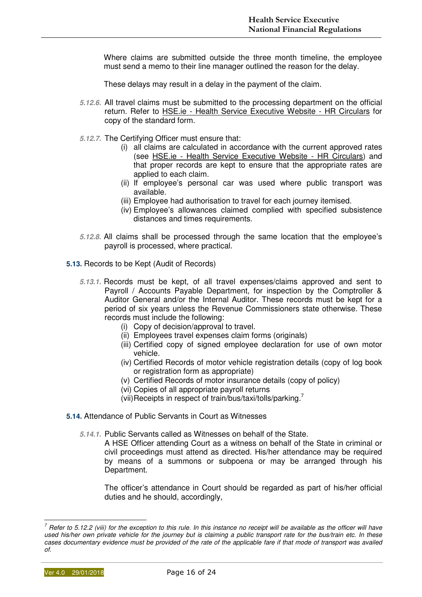Where claims are submitted outside the three month timeline, the employee must send a memo to their line manager outlined the reason for the delay.

These delays may result in a delay in the payment of the claim.

- **5.12.6.** All travel claims must be submitted to the processing department on the official return. Refer to HSE.ie - Health Service Executive Website - HR Circulars for copy of the standard form.
- **5.12.7.** The Certifying Officer must ensure that:
	- (i) all claims are calculated in accordance with the current approved rates (see HSE.ie - Health Service Executive Website - HR Circulars) and that proper records are kept to ensure that the appropriate rates are applied to each claim.
	- (ii) If employee's personal car was used where public transport was available.
	- (iii) Employee had authorisation to travel for each journey itemised.
	- (iv) Employee's allowances claimed complied with specified subsistence distances and times requirements.
- **5.12.8.** All claims shall be processed through the same location that the employee's payroll is processed, where practical.
- **5.13.** Records to be Kept (Audit of Records)
	- **5.13.1.** Records must be kept, of all travel expenses/claims approved and sent to Payroll / Accounts Payable Department, for inspection by the Comptroller & Auditor General and/or the Internal Auditor. These records must be kept for a period of six years unless the Revenue Commissioners state otherwise. These records must include the following:
		- (i) Copy of decision/approval to travel.
		- (ii) Employees travel expenses claim forms (originals)
		- (iii) Certified copy of signed employee declaration for use of own motor vehicle.
		- (iv) Certified Records of motor vehicle registration details (copy of log book or registration form as appropriate)
		- (v) Certified Records of motor insurance details (copy of policy)
		- (vi) Copies of all appropriate payroll returns
		- (vii) Receipts in respect of train/bus/taxi/tolls/parking.
- **5.14.** Attendance of Public Servants in Court as Witnesses
	- **5.14.1.** Public Servants called as Witnesses on behalf of the State.

A HSE Officer attending Court as a witness on behalf of the State in criminal or civil proceedings must attend as directed. His/her attendance may be required by means of a summons or subpoena or may be arranged through his Department.

The officer's attendance in Court should be regarded as part of his/her official duties and he should, accordingly,

 $^7$  Refer to 5.12.2 (viii) for the exception to this rule. In this instance no receipt will be available as the officer will have used his/her own private vehicle for the journey but is claiming a public transport rate for the bus/train etc. In these cases documentary evidence must be provided of the rate of the applicable fare if that mode of transport was availed of.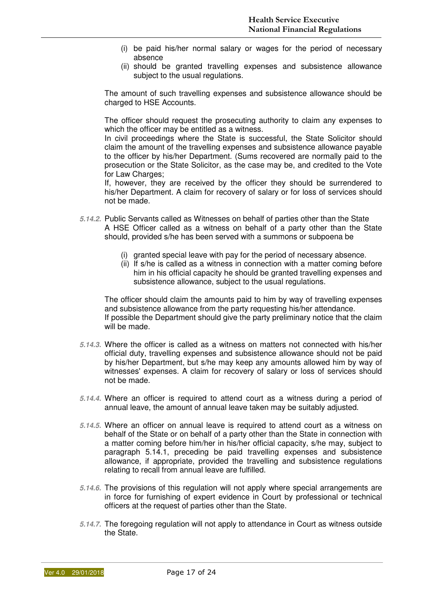- (i) be paid his/her normal salary or wages for the period of necessary absence
- (ii) should be granted travelling expenses and subsistence allowance subject to the usual regulations.

The amount of such travelling expenses and subsistence allowance should be charged to HSE Accounts.

The officer should request the prosecuting authority to claim any expenses to which the officer may be entitled as a witness.

In civil proceedings where the State is successful, the State Solicitor should claim the amount of the travelling expenses and subsistence allowance payable to the officer by his/her Department. (Sums recovered are normally paid to the prosecution or the State Solicitor, as the case may be, and credited to the Vote for Law Charges;

If, however, they are received by the officer they should be surrendered to his/her Department. A claim for recovery of salary or for loss of services should not be made.

- **5.14.2.** Public Servants called as Witnesses on behalf of parties other than the State A HSE Officer called as a witness on behalf of a party other than the State should, provided s/he has been served with a summons or subpoena be
	- (i) granted special leave with pay for the period of necessary absence.
	- (ii) If s/he is called as a witness in connection with a matter coming before him in his official capacity he should be granted travelling expenses and subsistence allowance, subject to the usual regulations.

The officer should claim the amounts paid to him by way of travelling expenses and subsistence allowance from the party requesting his/her attendance. If possible the Department should give the party preliminary notice that the claim will be made.

- **5.14.3.** Where the officer is called as a witness on matters not connected with his/her official duty, travelling expenses and subsistence allowance should not be paid by his/her Department, but s/he may keep any amounts allowed him by way of witnesses' expenses. A claim for recovery of salary or loss of services should not be made.
- **5.14.4.** Where an officer is required to attend court as a witness during a period of annual leave, the amount of annual leave taken may be suitably adjusted.
- **5.14.5.** Where an officer on annual leave is required to attend court as a witness on behalf of the State or on behalf of a party other than the State in connection with a matter coming before him/her in his/her official capacity, s/he may, subject to paragraph 5.14.1, preceding be paid travelling expenses and subsistence allowance, if appropriate, provided the travelling and subsistence regulations relating to recall from annual leave are fulfilled.
- **5.14.6.** The provisions of this regulation will not apply where special arrangements are in force for furnishing of expert evidence in Court by professional or technical officers at the request of parties other than the State.
- **5.14.7.** The foregoing regulation will not apply to attendance in Court as witness outside the State.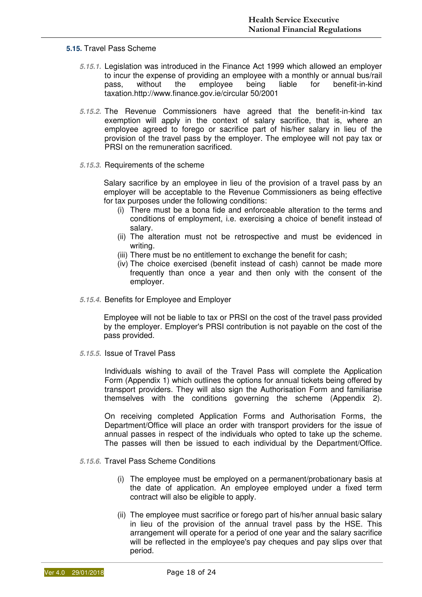#### **5.15.** Travel Pass Scheme

- **5.15.1.** Legislation was introduced in the Finance Act 1999 which allowed an employer to incur the expense of providing an employee with a monthly or annual bus/rail pass, without the employee being liable for benefit-in-kind taxation.http://www.finance.gov.ie/circular 50/2001
- **5.15.2.** The Revenue Commissioners have agreed that the benefit-in-kind tax exemption will apply in the context of salary sacrifice, that is, where an employee agreed to forego or sacrifice part of his/her salary in lieu of the provision of the travel pass by the employer. The employee will not pay tax or PRSI on the remuneration sacrificed.
- **5.15.3.** Requirements of the scheme

Salary sacrifice by an employee in lieu of the provision of a travel pass by an employer will be acceptable to the Revenue Commissioners as being effective for tax purposes under the following conditions:

- (i) There must be a bona fide and enforceable alteration to the terms and conditions of employment, i.e. exercising a choice of benefit instead of salary.
- (ii) The alteration must not be retrospective and must be evidenced in writing.
- (iii) There must be no entitlement to exchange the benefit for cash;
- (iv) The choice exercised (benefit instead of cash) cannot be made more frequently than once a year and then only with the consent of the employer.
- **5.15.4.** Benefits for Employee and Employer

Employee will not be liable to tax or PRSI on the cost of the travel pass provided by the employer. Employer's PRSI contribution is not payable on the cost of the pass provided.

**5.15.5.** Issue of Travel Pass

Individuals wishing to avail of the Travel Pass will complete the Application Form (Appendix 1) which outlines the options for annual tickets being offered by transport providers. They will also sign the Authorisation Form and familiarise themselves with the conditions governing the scheme (Appendix 2).

On receiving completed Application Forms and Authorisation Forms, the Department/Office will place an order with transport providers for the issue of annual passes in respect of the individuals who opted to take up the scheme. The passes will then be issued to each individual by the Department/Office.

- **5.15.6.** Travel Pass Scheme Conditions
	- (i) The employee must be employed on a permanent/probationary basis at the date of application. An employee employed under a fixed term contract will also be eligible to apply.
	- (ii) The employee must sacrifice or forego part of his/her annual basic salary in lieu of the provision of the annual travel pass by the HSE. This arrangement will operate for a period of one year and the salary sacrifice will be reflected in the employee's pay cheques and pay slips over that period.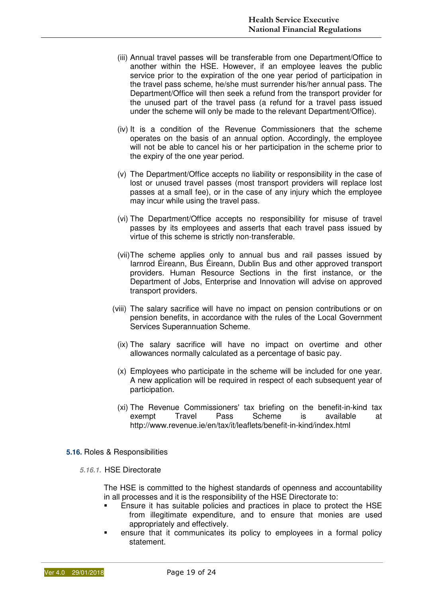- (iii) Annual travel passes will be transferable from one Department/Office to another within the HSE. However, if an employee leaves the public service prior to the expiration of the one year period of participation in the travel pass scheme, he/she must surrender his/her annual pass. The Department/Office will then seek a refund from the transport provider for the unused part of the travel pass (a refund for a travel pass issued under the scheme will only be made to the relevant Department/Office).
- (iv) It is a condition of the Revenue Commissioners that the scheme operates on the basis of an annual option. Accordingly, the employee will not be able to cancel his or her participation in the scheme prior to the expiry of the one year period.
- (v) The Department/Office accepts no liability or responsibility in the case of lost or unused travel passes (most transport providers will replace lost passes at a small fee), or in the case of any injury which the employee may incur while using the travel pass.
- (vi) The Department/Office accepts no responsibility for misuse of travel passes by its employees and asserts that each travel pass issued by virtue of this scheme is strictly non-transferable.
- (vii) The scheme applies only to annual bus and rail passes issued by Iarnrod Éireann, Bus Éireann, Dublin Bus and other approved transport providers. Human Resource Sections in the first instance, or the Department of Jobs, Enterprise and Innovation will advise on approved transport providers.
- (viii) The salary sacrifice will have no impact on pension contributions or on pension benefits, in accordance with the rules of the Local Government Services Superannuation Scheme.
	- (ix) The salary sacrifice will have no impact on overtime and other allowances normally calculated as a percentage of basic pay.
- (x) Employees who participate in the scheme will be included for one year. A new application will be required in respect of each subsequent year of participation.
- (xi) The Revenue Commissioners' tax briefing on the benefit-in-kind tax exempt Travel Pass Scheme is available at http://www.revenue.ie/en/tax/it/leaflets/benefit-in-kind/index.html
- **5.16.** Roles & Responsibilities
	- **5.16.1.** HSE Directorate

The HSE is committed to the highest standards of openness and accountability in all processes and it is the responsibility of the HSE Directorate to:

- **Ensure it has suitable policies and practices in place to protect the HSE** from illegitimate expenditure, and to ensure that monies are used appropriately and effectively.
- ensure that it communicates its policy to employees in a formal policy statement.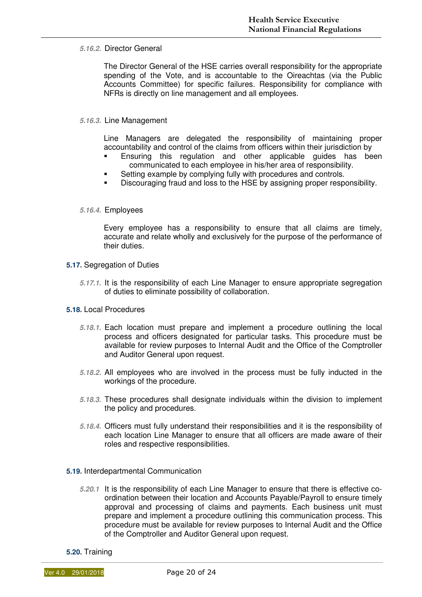#### **5.16.2.** Director General

The Director General of the HSE carries overall responsibility for the appropriate spending of the Vote, and is accountable to the Oireachtas (via the Public Accounts Committee) for specific failures. Responsibility for compliance with NFRs is directly on line management and all employees.

#### **5.16.3.** Line Management

Line Managers are delegated the responsibility of maintaining proper accountability and control of the claims from officers within their jurisdiction by

- Ensuring this regulation and other applicable guides has been communicated to each employee in his/her area of responsibility.
- **Setting example by complying fully with procedures and controls.**
- Discouraging fraud and loss to the HSE by assigning proper responsibility.

#### **5.16.4.** Employees

Every employee has a responsibility to ensure that all claims are timely, accurate and relate wholly and exclusively for the purpose of the performance of their duties.

- **5.17.** Segregation of Duties
	- **5.17.1.** It is the responsibility of each Line Manager to ensure appropriate segregation of duties to eliminate possibility of collaboration.
- **5.18.** Local Procedures
	- **5.18.1.** Each location must prepare and implement a procedure outlining the local process and officers designated for particular tasks. This procedure must be available for review purposes to Internal Audit and the Office of the Comptroller and Auditor General upon request.
	- **5.18.2.** All employees who are involved in the process must be fully inducted in the workings of the procedure.
	- **5.18.3.** These procedures shall designate individuals within the division to implement the policy and procedures.
	- **5.18.4.** Officers must fully understand their responsibilities and it is the responsibility of each location Line Manager to ensure that all officers are made aware of their roles and respective responsibilities.
- **5.19.** Interdepartmental Communication
	- **5.20.1** It is the responsibility of each Line Manager to ensure that there is effective coordination between their location and Accounts Payable/Payroll to ensure timely approval and processing of claims and payments. Each business unit must prepare and implement a procedure outlining this communication process. This procedure must be available for review purposes to Internal Audit and the Office of the Comptroller and Auditor General upon request.
- **5.20.** Training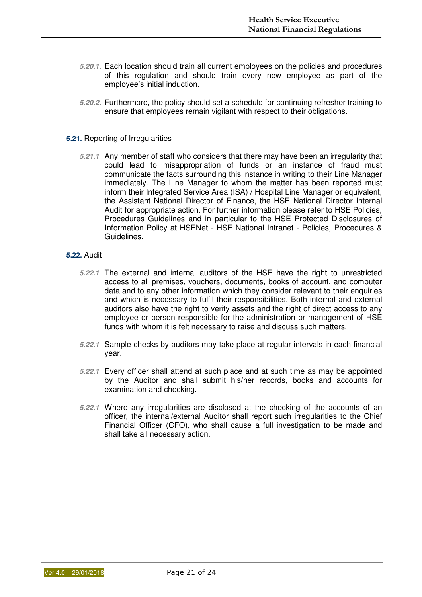- **5.20.1.** Each location should train all current employees on the policies and procedures of this regulation and should train every new employee as part of the employee's initial induction.
- **5.20.2.** Furthermore, the policy should set a schedule for continuing refresher training to ensure that employees remain vigilant with respect to their obligations.

#### **5.21.** Reporting of Irregularities

**5.21.1** Any member of staff who considers that there may have been an irregularity that could lead to misappropriation of funds or an instance of fraud must communicate the facts surrounding this instance in writing to their Line Manager immediately. The Line Manager to whom the matter has been reported must inform their Integrated Service Area (ISA) / Hospital Line Manager or equivalent, the Assistant National Director of Finance, the HSE National Director Internal Audit for appropriate action. For further information please refer to HSE Policies, Procedures Guidelines and in particular to the HSE Protected Disclosures of Information Policy at HSENet - HSE National Intranet - Policies, Procedures & Guidelines.

#### **5.22.** Audit

- **5.22.1** The external and internal auditors of the HSE have the right to unrestricted access to all premises, vouchers, documents, books of account, and computer data and to any other information which they consider relevant to their enquiries and which is necessary to fulfil their responsibilities. Both internal and external auditors also have the right to verify assets and the right of direct access to any employee or person responsible for the administration or management of HSE funds with whom it is felt necessary to raise and discuss such matters.
- **5.22.1** Sample checks by auditors may take place at regular intervals in each financial year.
- **5.22.1** Every officer shall attend at such place and at such time as may be appointed by the Auditor and shall submit his/her records, books and accounts for examination and checking.
- **5.22.1** Where any irregularities are disclosed at the checking of the accounts of an officer, the internal/external Auditor shall report such irregularities to the Chief Financial Officer (CFO), who shall cause a full investigation to be made and shall take all necessary action.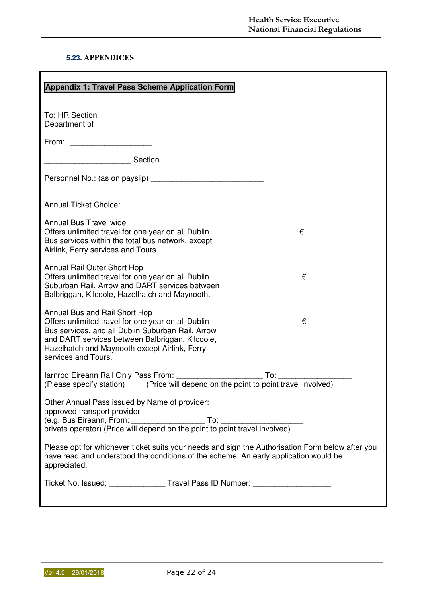#### **5.23. APPENDICES**

| Appendix 1: Travel Pass Scheme Application Form                                                                                                                                                                                                                          |  |  |  |  |  |  |  |  |
|--------------------------------------------------------------------------------------------------------------------------------------------------------------------------------------------------------------------------------------------------------------------------|--|--|--|--|--|--|--|--|
| To: HR Section<br>Department of                                                                                                                                                                                                                                          |  |  |  |  |  |  |  |  |
| From: $\qquad \qquad \qquad$                                                                                                                                                                                                                                             |  |  |  |  |  |  |  |  |
| Section                                                                                                                                                                                                                                                                  |  |  |  |  |  |  |  |  |
|                                                                                                                                                                                                                                                                          |  |  |  |  |  |  |  |  |
| <b>Annual Ticket Choice:</b>                                                                                                                                                                                                                                             |  |  |  |  |  |  |  |  |
| <b>Annual Bus Travel wide</b><br>Offers unlimited travel for one year on all Dublin<br>€<br>Bus services within the total bus network, except<br>Airlink, Ferry services and Tours.                                                                                      |  |  |  |  |  |  |  |  |
| Annual Rail Outer Short Hop<br>Offers unlimited travel for one year on all Dublin<br>€<br>Suburban Rail, Arrow and DART services between<br>Balbriggan, Kilcoole, Hazelhatch and Maynooth.                                                                               |  |  |  |  |  |  |  |  |
| Annual Bus and Rail Short Hop<br>Offers unlimited travel for one year on all Dublin<br>€<br>Bus services, and all Dublin Suburban Rail, Arrow<br>and DART services between Balbriggan, Kilcoole,<br>Hazelhatch and Maynooth except Airlink, Ferry<br>services and Tours. |  |  |  |  |  |  |  |  |
| (Please specify station) (Price will depend on the point to point travel involved)                                                                                                                                                                                       |  |  |  |  |  |  |  |  |
| Other Annual Pass issued by Name of provider: __________________________________<br>approved transport provider                                                                                                                                                          |  |  |  |  |  |  |  |  |
| Please opt for whichever ticket suits your needs and sign the Authorisation Form below after you<br>have read and understood the conditions of the scheme. An early application would be<br>appreciated.                                                                 |  |  |  |  |  |  |  |  |
| Ticket No. Issued: _______________Travel Pass ID Number: _______________________                                                                                                                                                                                         |  |  |  |  |  |  |  |  |
|                                                                                                                                                                                                                                                                          |  |  |  |  |  |  |  |  |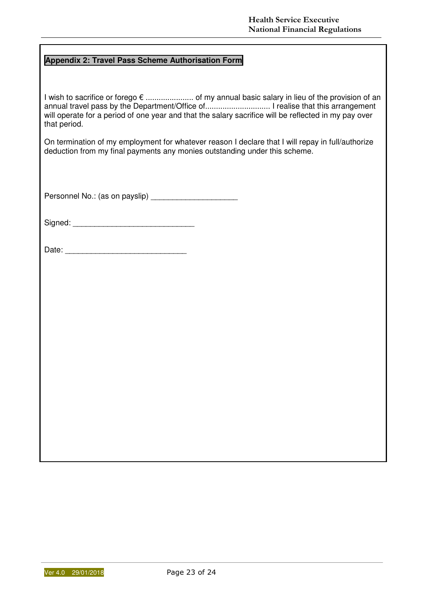#### **Appendix 2: Travel Pass Scheme Authorisation Form**

I wish to sacrifice or forego € ...................... of my annual basic salary in lieu of the provision of an annual travel pass by the Department/Office of.............................. I realise that this arrangement will operate for a period of one year and that the salary sacrifice will be reflected in my pay over that period.

On termination of my employment for whatever reason I declare that I will repay in full/authorize deduction from my final payments any monies outstanding under this scheme.

Personnel No.: (as on payslip) \_\_\_\_\_\_\_\_\_\_\_\_\_\_\_\_\_\_\_\_

Signed: